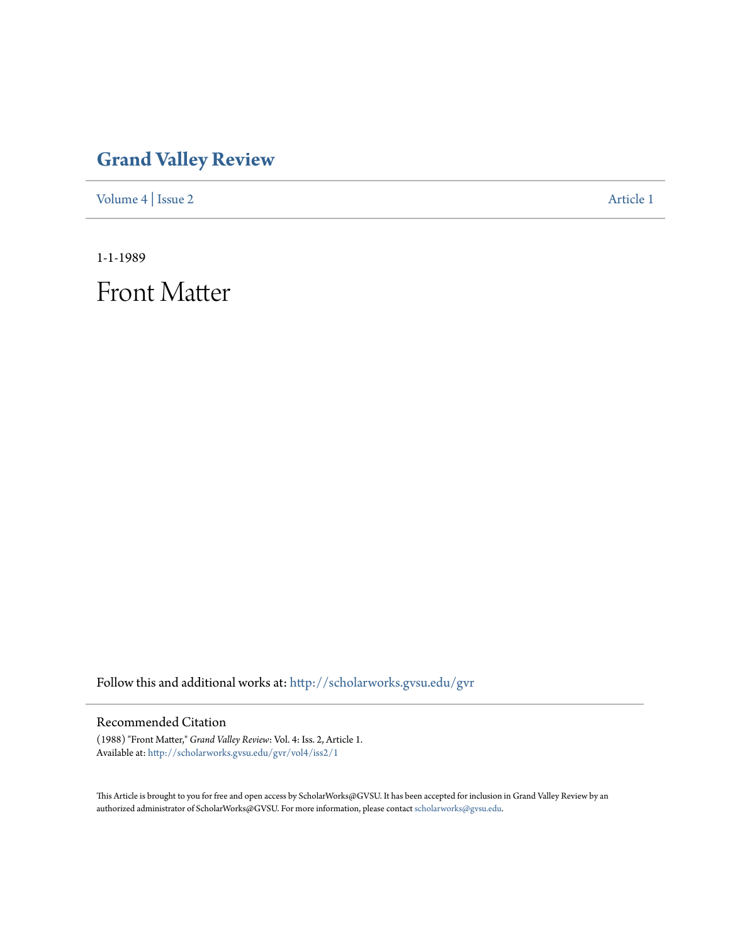## **[Grand Valley Review](http://scholarworks.gvsu.edu/gvr?utm_source=scholarworks.gvsu.edu%2Fgvr%2Fvol4%2Fiss2%2F1&utm_medium=PDF&utm_campaign=PDFCoverPages)**

[Volume 4](http://scholarworks.gvsu.edu/gvr/vol4?utm_source=scholarworks.gvsu.edu%2Fgvr%2Fvol4%2Fiss2%2F1&utm_medium=PDF&utm_campaign=PDFCoverPages) | [Issue 2](http://scholarworks.gvsu.edu/gvr/vol4/iss2?utm_source=scholarworks.gvsu.edu%2Fgvr%2Fvol4%2Fiss2%2F1&utm_medium=PDF&utm_campaign=PDFCoverPages) [Article 1](http://scholarworks.gvsu.edu/gvr/vol4/iss2/1?utm_source=scholarworks.gvsu.edu%2Fgvr%2Fvol4%2Fiss2%2F1&utm_medium=PDF&utm_campaign=PDFCoverPages)

1-1-1989

Front Matter

Follow this and additional works at: [http://scholarworks.gvsu.edu/gvr](http://scholarworks.gvsu.edu/gvr?utm_source=scholarworks.gvsu.edu%2Fgvr%2Fvol4%2Fiss2%2F1&utm_medium=PDF&utm_campaign=PDFCoverPages)

## Recommended Citation

(1988) "Front Matter," *Grand Valley Review*: Vol. 4: Iss. 2, Article 1. Available at: [http://scholarworks.gvsu.edu/gvr/vol4/iss2/1](http://scholarworks.gvsu.edu/gvr/vol4/iss2/1?utm_source=scholarworks.gvsu.edu%2Fgvr%2Fvol4%2Fiss2%2F1&utm_medium=PDF&utm_campaign=PDFCoverPages)

This Article is brought to you for free and open access by ScholarWorks@GVSU. It has been accepted for inclusion in Grand Valley Review by an authorized administrator of ScholarWorks@GVSU. For more information, please contact [scholarworks@gvsu.edu.](mailto:scholarworks@gvsu.edu)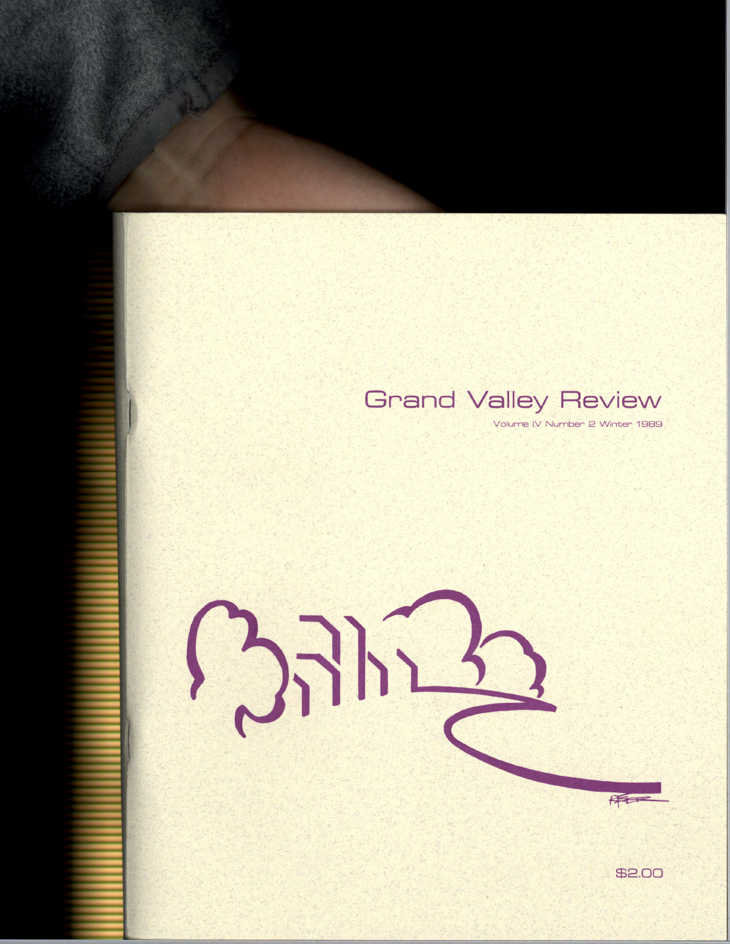## **Grand Valley Review**

Volume IV Number 2 Winter 1989



\$2.00